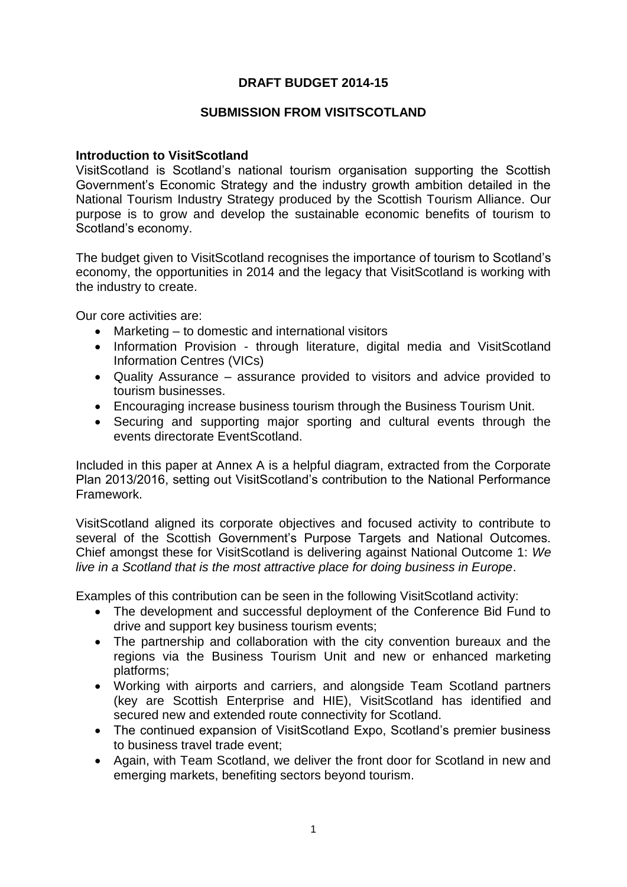# **DRAFT BUDGET 2014-15**

## **SUBMISSION FROM VISITSCOTLAND**

## **Introduction to VisitScotland**

VisitScotland is Scotland's national tourism organisation supporting the Scottish Government's Economic Strategy and the industry growth ambition detailed in the National Tourism Industry Strategy produced by the Scottish Tourism Alliance. Our purpose is to grow and develop the sustainable economic benefits of tourism to Scotland's economy.

The budget given to VisitScotland recognises the importance of tourism to Scotland's economy, the opportunities in 2014 and the legacy that VisitScotland is working with the industry to create.

Our core activities are:

- Marketing to domestic and international visitors
- Information Provision through literature, digital media and VisitScotland Information Centres (VICs)
- Quality Assurance assurance provided to visitors and advice provided to tourism businesses.
- Encouraging increase business tourism through the Business Tourism Unit.
- Securing and supporting major sporting and cultural events through the events directorate EventScotland.

Included in this paper at Annex A is a helpful diagram, extracted from the Corporate Plan 2013/2016, setting out VisitScotland's contribution to the National Performance Framework.

VisitScotland aligned its corporate objectives and focused activity to contribute to several of the Scottish Government's Purpose Targets and National Outcomes. Chief amongst these for VisitScotland is delivering against National Outcome 1: *We live in a Scotland that is the most attractive place for doing business in Europe*.

Examples of this contribution can be seen in the following VisitScotland activity:

- The development and successful deployment of the Conference Bid Fund to drive and support key business tourism events;
- The partnership and collaboration with the city convention bureaux and the regions via the Business Tourism Unit and new or enhanced marketing platforms;
- Working with airports and carriers, and alongside Team Scotland partners (key are Scottish Enterprise and HIE), VisitScotland has identified and secured new and extended route connectivity for Scotland.
- The continued expansion of VisitScotland Expo, Scotland's premier business to business travel trade event;
- Again, with Team Scotland, we deliver the front door for Scotland in new and emerging markets, benefiting sectors beyond tourism.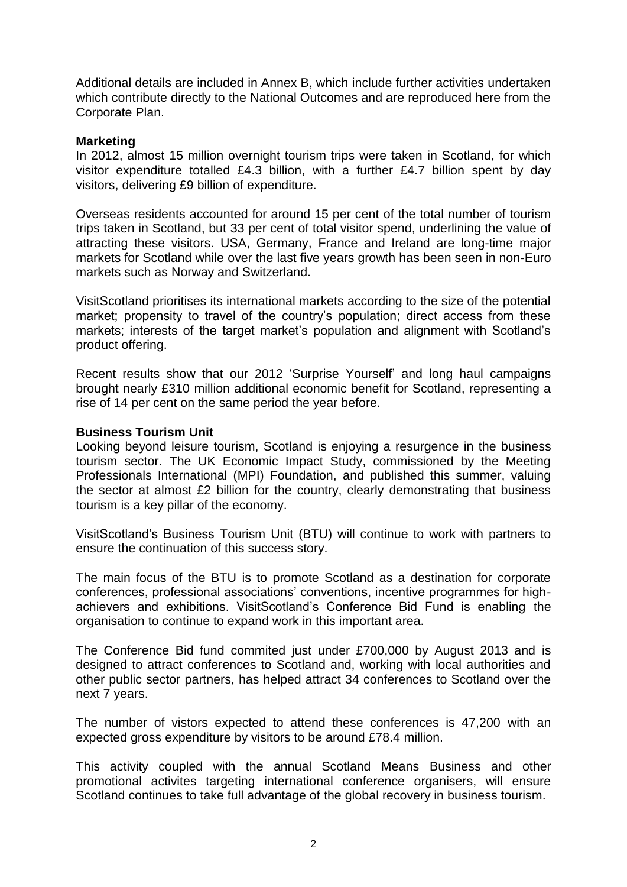Additional details are included in Annex B, which include further activities undertaken which contribute directly to the National Outcomes and are reproduced here from the Corporate Plan.

## **Marketing**

In 2012, almost 15 million overnight tourism trips were taken in Scotland, for which visitor expenditure totalled £4.3 billion, with a further £4.7 billion spent by day visitors, delivering £9 billion of expenditure.

Overseas residents accounted for around 15 per cent of the total number of tourism trips taken in Scotland, but 33 per cent of total visitor spend, underlining the value of attracting these visitors. USA, Germany, France and Ireland are long-time major markets for Scotland while over the last five years growth has been seen in non-Euro markets such as Norway and Switzerland.

VisitScotland prioritises its international markets according to the size of the potential market; propensity to travel of the country's population; direct access from these markets; interests of the target market's population and alignment with Scotland's product offering.

Recent results show that our 2012 'Surprise Yourself' and long haul campaigns brought nearly £310 million additional economic benefit for Scotland, representing a rise of 14 per cent on the same period the year before.

## **Business Tourism Unit**

Looking beyond leisure tourism, Scotland is enjoying a resurgence in the business tourism sector. The UK Economic Impact Study, commissioned by the Meeting Professionals International (MPI) Foundation, and published this summer, valuing the sector at almost £2 billion for the country, clearly demonstrating that business tourism is a key pillar of the economy.

VisitScotland's Business Tourism Unit (BTU) will continue to work with partners to ensure the continuation of this success story.

The main focus of the BTU is to promote Scotland as a destination for corporate conferences, professional associations' conventions, incentive programmes for highachievers and exhibitions. VisitScotland's Conference Bid Fund is enabling the organisation to continue to expand work in this important area.

The Conference Bid fund commited just under £700,000 by August 2013 and is designed to attract conferences to Scotland and, working with local authorities and other public sector partners, has helped attract 34 conferences to Scotland over the next 7 years.

The number of vistors expected to attend these conferences is 47,200 with an expected gross expenditure by visitors to be around £78.4 million.

This activity coupled with the annual Scotland Means Business and other promotional activites targeting international conference organisers, will ensure Scotland continues to take full advantage of the global recovery in business tourism.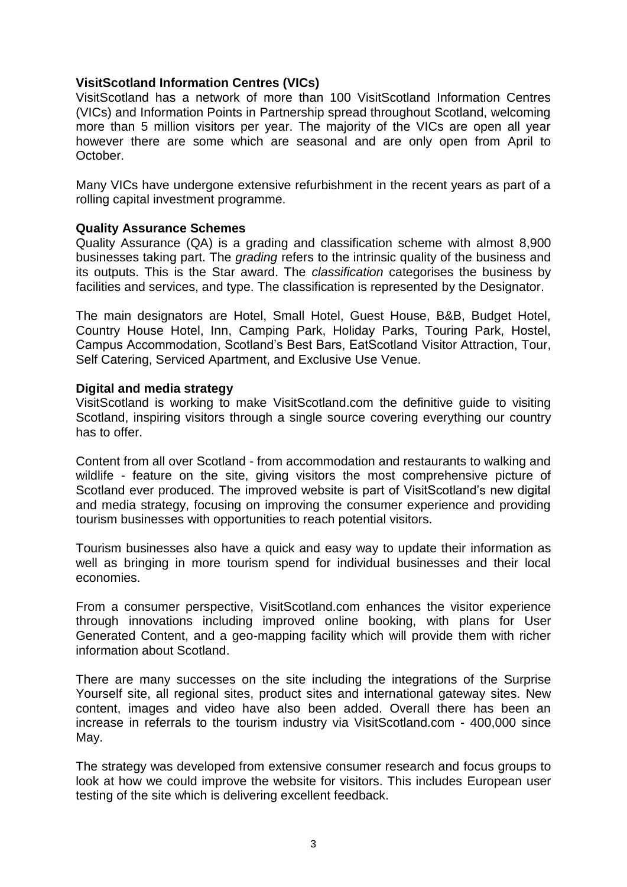# **VisitScotland Information Centres (VICs)**

VisitScotland has a network of more than 100 VisitScotland Information Centres (VICs) and Information Points in Partnership spread throughout Scotland, welcoming more than 5 million visitors per year. The majority of the VICs are open all year however there are some which are seasonal and are only open from April to October.

Many VICs have undergone extensive refurbishment in the recent years as part of a rolling capital investment programme.

## **Quality Assurance Schemes**

Quality Assurance (QA) is a grading and classification scheme with almost 8,900 businesses taking part. The *grading* refers to the intrinsic quality of the business and its outputs. This is the Star award. The *classification* categorises the business by facilities and services, and type. The classification is represented by the Designator.

The main designators are Hotel, Small Hotel, Guest House, B&B, Budget Hotel, Country House Hotel, Inn, Camping Park, Holiday Parks, Touring Park, Hostel, Campus Accommodation, Scotland's Best Bars, EatScotland Visitor Attraction, Tour, Self Catering, Serviced Apartment, and Exclusive Use Venue.

## **Digital and media strategy**

VisitScotland is working to make VisitScotland.com the definitive guide to visiting Scotland, inspiring visitors through a single source covering everything our country has to offer.

Content from all over Scotland - from accommodation and restaurants to walking and wildlife - feature on the site, giving visitors the most comprehensive picture of Scotland ever produced. The improved website is part of VisitScotland's new digital and media strategy, focusing on improving the consumer experience and providing tourism businesses with opportunities to reach potential visitors.

Tourism businesses also have a quick and easy way to update their information as well as bringing in more tourism spend for individual businesses and their local economies.

From a consumer perspective, VisitScotland.com enhances the visitor experience through innovations including improved online booking, with plans for User Generated Content, and a geo-mapping facility which will provide them with richer information about Scotland.

There are many successes on the site including the integrations of the Surprise Yourself site, all regional sites, product sites and international gateway sites. New content, images and video have also been added. Overall there has been an increase in referrals to the tourism industry via VisitScotland.com - 400,000 since May.

The strategy was developed from extensive consumer research and focus groups to look at how we could improve the website for visitors. This includes European user testing of the site which is delivering excellent feedback.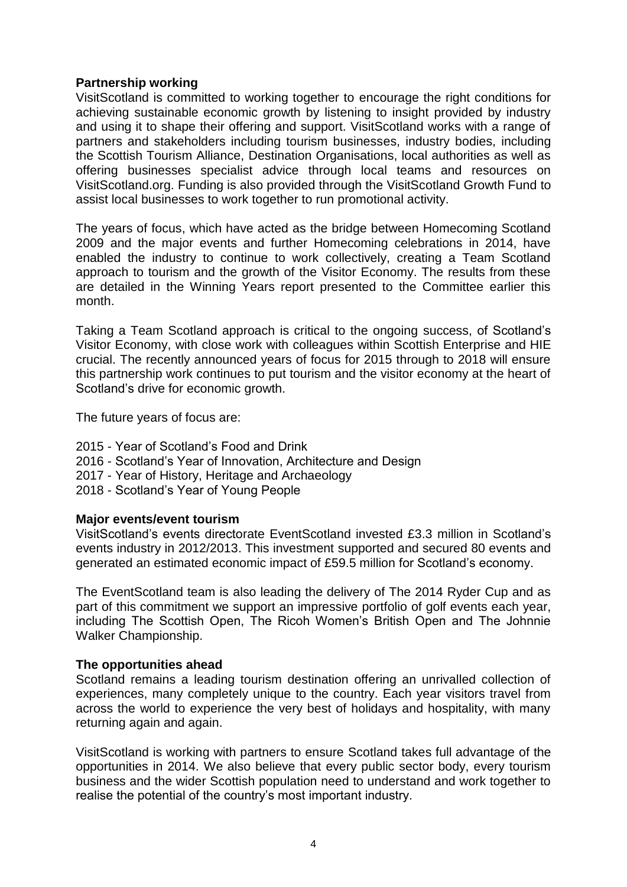## **Partnership working**

VisitScotland is committed to working together to encourage the right conditions for achieving sustainable economic growth by listening to insight provided by industry and using it to shape their offering and support. VisitScotland works with a range of partners and stakeholders including tourism businesses, industry bodies, including the Scottish Tourism Alliance, Destination Organisations, local authorities as well as offering businesses specialist advice through local teams and resources on VisitScotland.org. Funding is also provided through the VisitScotland Growth Fund to assist local businesses to work together to run promotional activity.

The years of focus, which have acted as the bridge between Homecoming Scotland 2009 and the major events and further Homecoming celebrations in 2014, have enabled the industry to continue to work collectively, creating a Team Scotland approach to tourism and the growth of the Visitor Economy. The results from these are detailed in the Winning Years report presented to the Committee earlier this month.

Taking a Team Scotland approach is critical to the ongoing success, of Scotland's Visitor Economy, with close work with colleagues within Scottish Enterprise and HIE crucial. The recently announced years of focus for 2015 through to 2018 will ensure this partnership work continues to put tourism and the visitor economy at the heart of Scotland's drive for economic growth.

The future years of focus are:

- 2015 Year of Scotland's Food and Drink
- 2016 Scotland's Year of Innovation, Architecture and Design
- 2017 Year of History, Heritage and Archaeology
- 2018 Scotland's Year of Young People

#### **Major events/event tourism**

VisitScotland's events directorate EventScotland invested £3.3 million in Scotland's events industry in 2012/2013. This investment supported and secured 80 events and generated an estimated economic impact of £59.5 million for Scotland's economy.

The EventScotland team is also leading the delivery of The 2014 Ryder Cup and as part of this commitment we support an impressive portfolio of golf events each year, including The Scottish Open, The Ricoh Women's British Open and The Johnnie Walker Championship.

#### **The opportunities ahead**

Scotland remains a leading tourism destination offering an unrivalled collection of experiences, many completely unique to the country. Each year visitors travel from across the world to experience the very best of holidays and hospitality, with many returning again and again.

VisitScotland is working with partners to ensure Scotland takes full advantage of the opportunities in 2014. We also believe that every public sector body, every tourism business and the wider Scottish population need to understand and work together to realise the potential of the country's most important industry.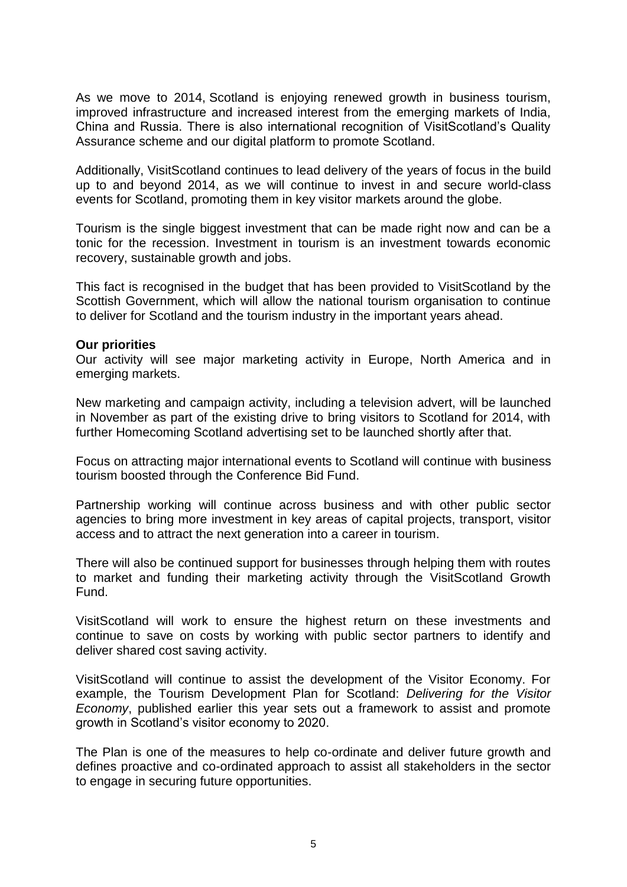As we move to 2014, Scotland is enjoying renewed growth in business tourism, improved infrastructure and increased interest from the emerging markets of India, China and Russia. There is also international recognition of VisitScotland's Quality Assurance scheme and our digital platform to promote Scotland.

Additionally, VisitScotland continues to lead delivery of the years of focus in the build up to and beyond 2014, as we will continue to invest in and secure world-class events for Scotland, promoting them in key visitor markets around the globe.

Tourism is the single biggest investment that can be made right now and can be a tonic for the recession. Investment in tourism is an investment towards economic recovery, sustainable growth and jobs.

This fact is recognised in the budget that has been provided to VisitScotland by the Scottish Government, which will allow the national tourism organisation to continue to deliver for Scotland and the tourism industry in the important years ahead.

#### **Our priorities**

Our activity will see major marketing activity in Europe, North America and in emerging markets.

New marketing and campaign activity, including a television advert, will be launched in November as part of the existing drive to bring visitors to Scotland for 2014, with further Homecoming Scotland advertising set to be launched shortly after that.

Focus on attracting major international events to Scotland will continue with business tourism boosted through the Conference Bid Fund.

Partnership working will continue across business and with other public sector agencies to bring more investment in key areas of capital projects, transport, visitor access and to attract the next generation into a career in tourism.

There will also be continued support for businesses through helping them with routes to market and funding their marketing activity through the VisitScotland Growth Fund.

VisitScotland will work to ensure the highest return on these investments and continue to save on costs by working with public sector partners to identify and deliver shared cost saving activity.

VisitScotland will continue to assist the development of the Visitor Economy. For example, the Tourism Development Plan for Scotland: *Delivering for the Visitor Economy*, published earlier this year sets out a framework to assist and promote growth in Scotland's visitor economy to 2020.

The Plan is one of the measures to help co-ordinate and deliver future growth and defines proactive and co-ordinated approach to assist all stakeholders in the sector to engage in securing future opportunities.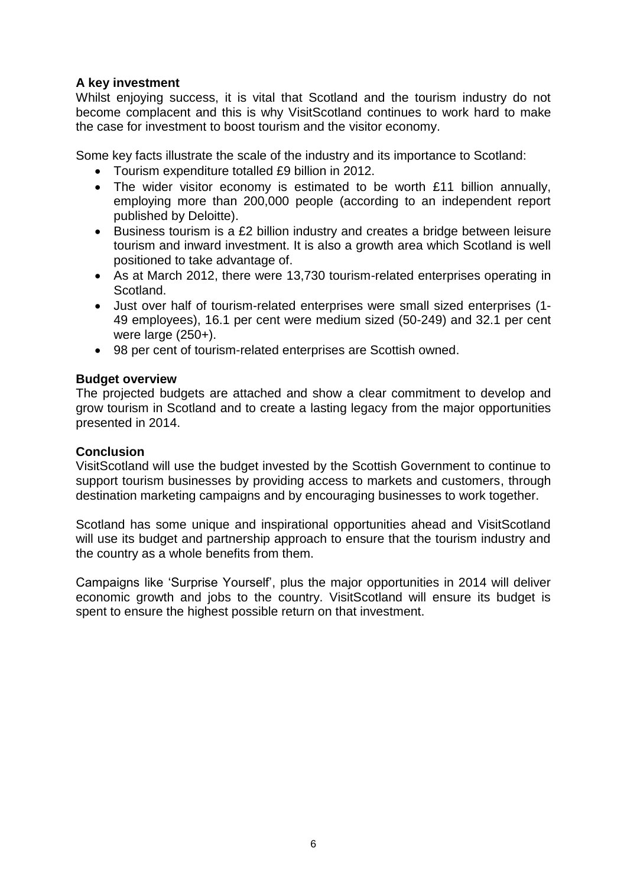# **A key investment**

Whilst enjoying success, it is vital that Scotland and the tourism industry do not become complacent and this is why VisitScotland continues to work hard to make the case for investment to boost tourism and the visitor economy.

Some key facts illustrate the scale of the industry and its importance to Scotland:

- Tourism expenditure totalled £9 billion in 2012.
- The wider visitor economy is estimated to be worth £11 billion annually, employing more than 200,000 people (according to an independent report published by Deloitte).
- Business tourism is a £2 billion industry and creates a bridge between leisure tourism and inward investment. It is also a growth area which Scotland is well positioned to take advantage of.
- As at March 2012, there were 13,730 tourism-related enterprises operating in Scotland.
- Just over half of tourism-related enterprises were small sized enterprises (1- 49 employees), 16.1 per cent were medium sized (50-249) and 32.1 per cent were large (250+).
- 98 per cent of tourism-related enterprises are Scottish owned.

# **Budget overview**

The projected budgets are attached and show a clear commitment to develop and grow tourism in Scotland and to create a lasting legacy from the major opportunities presented in 2014.

# **Conclusion**

VisitScotland will use the budget invested by the Scottish Government to continue to support tourism businesses by providing access to markets and customers, through destination marketing campaigns and by encouraging businesses to work together.

Scotland has some unique and inspirational opportunities ahead and VisitScotland will use its budget and partnership approach to ensure that the tourism industry and the country as a whole benefits from them.

Campaigns like 'Surprise Yourself', plus the major opportunities in 2014 will deliver economic growth and jobs to the country. VisitScotland will ensure its budget is spent to ensure the highest possible return on that investment.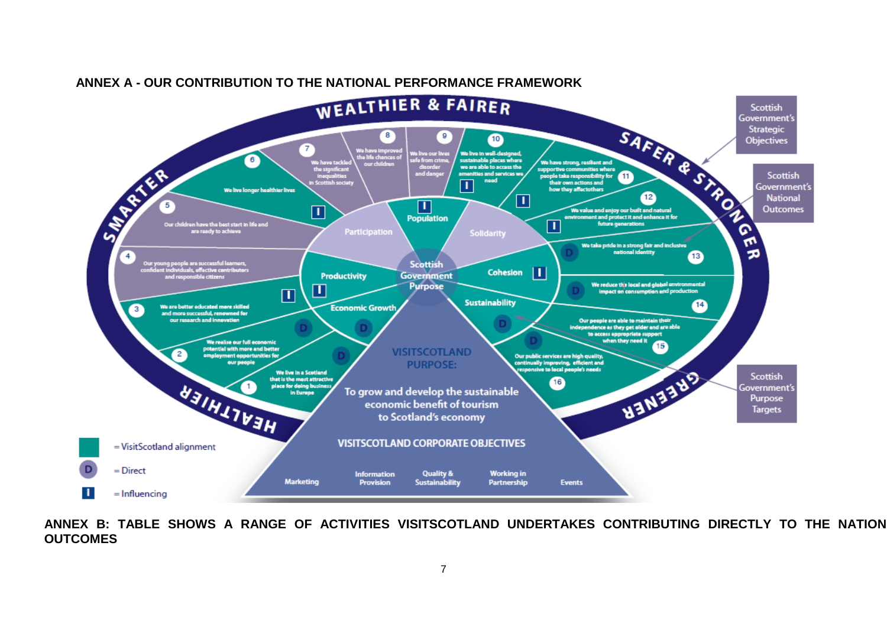

## **ANNEX A - OUR CONTRIBUTION TO THE NATIONAL PERFORMANCE FRAMEWORK**

**ANNEX B: TABLE SHOWS A RANGE OF ACTIVITIES VISITSCOTLAND UNDERTAKES CONTRIBUTING DIRECTLY TO THE NATIONAL OUTCOMES**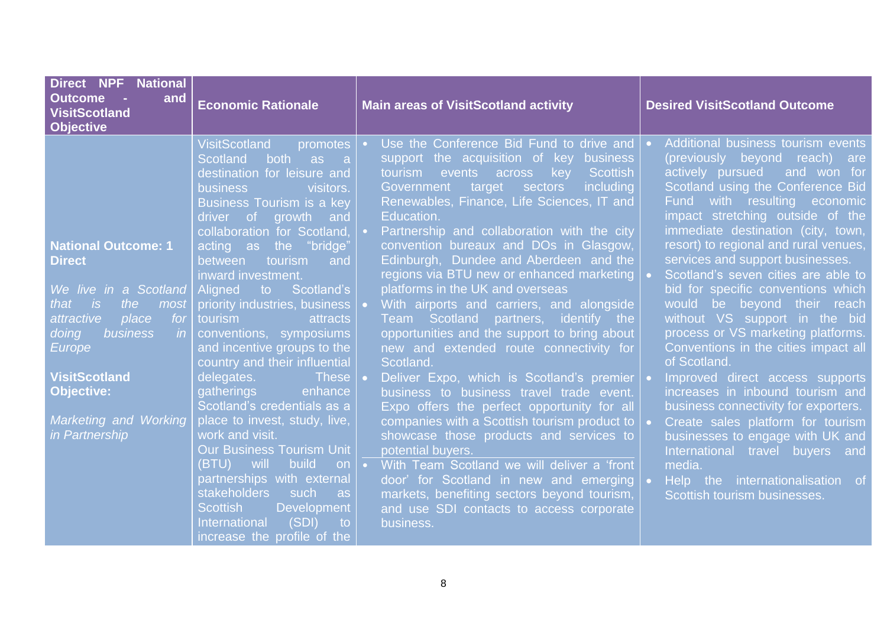| <b>Direct NPF National</b><br><b>Outcome</b><br>and<br>$\sim 100$<br><b>VisitScotland</b><br><b>Objective</b>                                                                                                                                                         | <b>Economic Rationale</b>                                                                                                                                                                                                                                                                                                                                                                                                                                                                                                                                                                                                                                                                                                                                                                                                                                                                                                     | <b>Main areas of VisitScotland activity</b>                                                                                                                                                                                                                                                                                                                                                                                                                                                                                                                                                                                                                                                                                                                                                                                                                                                                                                                                                                                                                                                                                                                         | <b>Desired VisitScotland Outcome</b>                                                                                                                                                                                                                                                                                                                                                                                                                                                                                                                                                                                                                                                                                                                                                                                                                                                                |  |
|-----------------------------------------------------------------------------------------------------------------------------------------------------------------------------------------------------------------------------------------------------------------------|-------------------------------------------------------------------------------------------------------------------------------------------------------------------------------------------------------------------------------------------------------------------------------------------------------------------------------------------------------------------------------------------------------------------------------------------------------------------------------------------------------------------------------------------------------------------------------------------------------------------------------------------------------------------------------------------------------------------------------------------------------------------------------------------------------------------------------------------------------------------------------------------------------------------------------|---------------------------------------------------------------------------------------------------------------------------------------------------------------------------------------------------------------------------------------------------------------------------------------------------------------------------------------------------------------------------------------------------------------------------------------------------------------------------------------------------------------------------------------------------------------------------------------------------------------------------------------------------------------------------------------------------------------------------------------------------------------------------------------------------------------------------------------------------------------------------------------------------------------------------------------------------------------------------------------------------------------------------------------------------------------------------------------------------------------------------------------------------------------------|-----------------------------------------------------------------------------------------------------------------------------------------------------------------------------------------------------------------------------------------------------------------------------------------------------------------------------------------------------------------------------------------------------------------------------------------------------------------------------------------------------------------------------------------------------------------------------------------------------------------------------------------------------------------------------------------------------------------------------------------------------------------------------------------------------------------------------------------------------------------------------------------------------|--|
| <b>National Outcome: 1</b><br><b>Direct</b><br>We live in a Scotland<br>the<br>that<br>i is<br>most<br>place<br>attractive<br>for<br>business<br>in<br>doing<br>Europe<br><b>VisitScotland</b><br><b>Objective:</b><br><b>Marketing and Working</b><br>in Partnership | <b>VisitScotland</b><br>promotes<br>both as<br><b>Scotland</b><br>$\blacksquare$ a<br>destination for leisure and<br><b>business</b><br>visitors.<br>Business Tourism is a key<br>driver of growth and<br>collaboration for Scotland,<br>acting as the "bridge"<br>between<br>tourism<br>and<br>inward investment.<br>Aligned<br>Scotland's<br>$\mathsf{to}$<br>priority industries, business<br>tourism<br>attracts<br>conventions, symposiums<br>and incentive groups to the<br>country and their influential<br>delegates.<br><b>These</b><br>gatherings<br>enhance<br>Scotland's credentials as a<br>place to invest, study, live,<br>work and visit.<br><b>Our Business Tourism Unit</b><br>build<br>(BTU)<br>will<br>on<br>partnerships with external<br><b>stakeholders</b><br>such<br>as as<br><b>Scottish</b><br><b>Development</b><br>(SDI)<br><b>International</b><br>$\mathsf{to}$<br>increase the profile of the | Use the Conference Bid Fund to drive and $\cdot$<br>support the acquisition of key business<br><b>Scottish</b><br>tourism<br>events across<br>key<br>including<br>Government<br>target sectors<br>Renewables, Finance, Life Sciences, IT and<br>Education.<br>Partnership and collaboration with the city<br>convention bureaux and DOs in Glasgow,<br>Edinburgh, Dundee and Aberdeen and the<br>regions via BTU new or enhanced marketing   •<br>platforms in the UK and overseas<br>With airports and carriers, and alongside<br>Team Scotland partners, identify the<br>opportunities and the support to bring about<br>new and extended route connectivity for<br>Scotland.<br>Deliver Expo, which is Scotland's premier<br>business to business travel trade event.<br>Expo offers the perfect opportunity for all<br>companies with a Scottish tourism product to $\overline{\phantom{a}}$<br>showcase those products and services to<br>potential buyers.<br>With Team Scotland we will deliver a 'front<br>door' for Scotland in new and emerging .<br>markets, benefiting sectors beyond tourism,<br>and use SDI contacts to access corporate<br>business. | Additional business tourism events<br>(previously beyond reach) are<br>actively pursued<br>and won for<br>Scotland using the Conference Bid<br>with resulting<br><b>Fund</b><br>economic<br>impact stretching outside of the<br>immediate destination (city, town,<br>resort) to regional and rural venues,<br>services and support businesses.<br>Scotland's seven cities are able to<br>bid for specific conventions which<br>would be beyond their reach<br>without VS support in the bid<br>process or VS marketing platforms.<br>Conventions in the cities impact all<br>of Scotland.<br>Improved direct access supports<br>increases in inbound tourism and<br>business connectivity for exporters.<br>Create sales platform for tourism<br>businesses to engage with UK and<br>International travel buyers and<br>media.<br>Help the internationalisation of<br>Scottish tourism businesses. |  |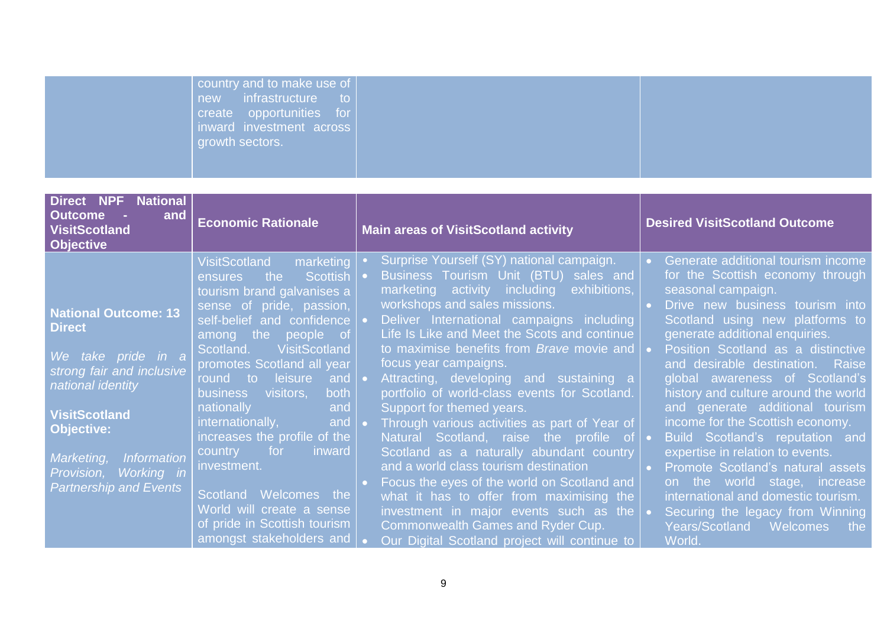| country and to make use of $ $<br>new infrastructure to<br>$ $ create opportunities for $ $<br>inward investment across<br>growth sectors. |  |
|--------------------------------------------------------------------------------------------------------------------------------------------|--|
|                                                                                                                                            |  |

| <b>National</b><br>Direct NPF<br><b>Outcome</b><br>and<br><b>VisitScotland</b><br><b>Objective</b>                                                                                                                                                                        | <b>Economic Rationale</b>                                                                                                                                                                                                                                                                                                                                                                                                                                                                                                                                                                  | <b>Main areas of VisitScotland activity</b>                                                                                                                                                                                                                                                                                                                                                                                                                                                                                                                                                                                                                                                                                                                                                                                                                                                                 | <b>Desired VisitScotland Outcome</b>                                                                                                                                                                                                                                                                                                                                                                                                                                                                                                                                                                                                                                                            |
|---------------------------------------------------------------------------------------------------------------------------------------------------------------------------------------------------------------------------------------------------------------------------|--------------------------------------------------------------------------------------------------------------------------------------------------------------------------------------------------------------------------------------------------------------------------------------------------------------------------------------------------------------------------------------------------------------------------------------------------------------------------------------------------------------------------------------------------------------------------------------------|-------------------------------------------------------------------------------------------------------------------------------------------------------------------------------------------------------------------------------------------------------------------------------------------------------------------------------------------------------------------------------------------------------------------------------------------------------------------------------------------------------------------------------------------------------------------------------------------------------------------------------------------------------------------------------------------------------------------------------------------------------------------------------------------------------------------------------------------------------------------------------------------------------------|-------------------------------------------------------------------------------------------------------------------------------------------------------------------------------------------------------------------------------------------------------------------------------------------------------------------------------------------------------------------------------------------------------------------------------------------------------------------------------------------------------------------------------------------------------------------------------------------------------------------------------------------------------------------------------------------------|
| <b>National Outcome: 13</b><br><b>Direct</b><br>We take pride in a<br>strong fair and inclusive<br>national identity<br><b>VisitScotland</b><br><b>Objective:</b><br><b>Information</b><br>Marketing,<br><b>Working</b> in<br>Provision,<br><b>Partnership and Events</b> | <b>VisitScotland</b><br>marketing<br>Scottish<br>the<br><b>ensures</b><br>tourism brand galvanises a<br>sense of pride, passion,<br>self-belief and confidence<br>among the<br>people of<br><b>VisitScotland</b><br>Scotland.<br>promotes Scotland all year<br>leisure<br>round to<br>and  <br><b>both</b><br>visitors,<br><b>business</b><br>and<br>nationally<br>and<br>internationally,<br>increases the profile of the<br>for<br>country<br>inward<br>investment.<br>Scotland<br>Welcomes the<br>World will create a sense<br>of pride in Scottish tourism<br>amongst stakeholders and | Surprise Yourself (SY) national campaign.<br>Business Tourism Unit (BTU) sales and<br>marketing activity including<br>exhibitions,<br>workshops and sales missions.<br>Deliver International campaigns including<br>Life Is Like and Meet the Scots and continue<br>to maximise benefits from <i>Brave</i> movie and $\sim$<br>focus year campaigns.<br>Attracting, developing and sustaining a<br>portfolio of world-class events for Scotland.<br>Support for themed years.<br>Through various activities as part of Year of<br>Natural Scotland, raise the profile of •<br>Scotland as a naturally abundant country<br>and a world class tourism destination<br>Focus the eyes of the world on Scotland and<br>what it has to offer from maximising the<br>investment in major events such as the $\bullet$<br><b>Commonwealth Games and Ryder Cup.</b><br>Our Digital Scotland project will continue to | Generate additional tourism income<br>for the Scottish economy through<br>seasonal campaign.<br>Drive new business tourism into<br>Scotland using new platforms to<br>generate additional enquiries.<br>Position Scotland as a distinctive<br>and desirable destination. Raise<br>global awareness of Scotland's<br>history and culture around the world<br>and generate additional tourism<br>income for the Scottish economy.<br>Build Scotland's reputation and<br>expertise in relation to events.<br>Promote Scotland's natural assets<br>on the world stage, increase<br>international and domestic tourism.<br>Securing the legacy from Winning<br>Years/Scotland Welcomes the<br>World. |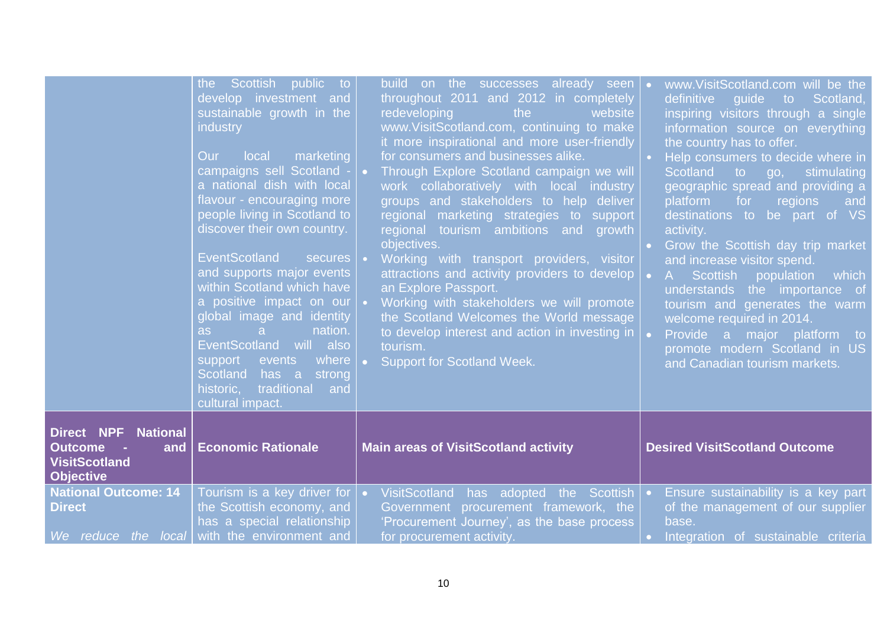|                                                                                            | the Scottish public to<br>develop investment and<br>sustainable growth in the<br><i>industry</i><br>Our<br>local<br>marketing<br>campaigns sell Scotland -<br>a national dish with local<br>flavour - encouraging more<br>people living in Scotland to<br>discover their own country.<br><b>EventScotland</b><br>secures •<br>and supports major events<br>within Scotland which have<br>a positive impact on our<br>global image and identity<br>nation.<br>as<br>a<br><b>EventScotland</b><br>will also<br>where<br>support<br>events<br>Scotland has a<br>strong<br>traditional<br>historic,<br>and<br>cultural impact. | build on the successes already seen<br>throughout 2011 and 2012 in completely<br>redeveloping<br>the<br>website<br>www.VisitScotland.com, continuing to make<br>it more inspirational and more user-friendly<br>for consumers and businesses alike.<br>Through Explore Scotland campaign we will<br>$\bullet$ .<br>work collaboratively with local industry<br>groups and stakeholders to help deliver<br>regional marketing strategies to support<br>regional tourism ambitions and growth<br>objectives.<br>Working with transport providers, visitor<br>attractions and activity providers to develop<br>an Explore Passport.<br>Working with stakeholders we will promote<br>the Scotland Welcomes the World message<br>to develop interest and action in investing in $\vert$ .<br>tourism.<br><b>Support for Scotland Week.</b> | www.VisitScotland.com will be the<br>definitive<br>guide<br>Scotland,<br>to<br>inspiring visitors through a single<br>information source on everything<br>the country has to offer.<br>Help consumers to decide where in<br>Scotland<br>$\overline{\phantom{a}}$ to go,<br>stimulating<br>geographic spread and providing a<br>platform<br>for<br>regions<br>and<br>destinations to be part of VS<br>activity.<br>Grow the Scottish day trip market<br>and increase visitor spend.<br><b>Scottish</b><br>population<br>which<br>$A -$<br>understands the importance of<br>tourism and generates the warm<br>welcome required in 2014.<br>Provide a major platform to<br>promote modern Scotland in US<br>and Canadian tourism markets. |
|--------------------------------------------------------------------------------------------|----------------------------------------------------------------------------------------------------------------------------------------------------------------------------------------------------------------------------------------------------------------------------------------------------------------------------------------------------------------------------------------------------------------------------------------------------------------------------------------------------------------------------------------------------------------------------------------------------------------------------|---------------------------------------------------------------------------------------------------------------------------------------------------------------------------------------------------------------------------------------------------------------------------------------------------------------------------------------------------------------------------------------------------------------------------------------------------------------------------------------------------------------------------------------------------------------------------------------------------------------------------------------------------------------------------------------------------------------------------------------------------------------------------------------------------------------------------------------|----------------------------------------------------------------------------------------------------------------------------------------------------------------------------------------------------------------------------------------------------------------------------------------------------------------------------------------------------------------------------------------------------------------------------------------------------------------------------------------------------------------------------------------------------------------------------------------------------------------------------------------------------------------------------------------------------------------------------------------|
| <b>Direct NPF National</b><br>Outcome -<br>and<br><b>VisitScotland</b><br><b>Objective</b> | <b>Economic Rationale</b>                                                                                                                                                                                                                                                                                                                                                                                                                                                                                                                                                                                                  | <b>Main areas of VisitScotland activity</b>                                                                                                                                                                                                                                                                                                                                                                                                                                                                                                                                                                                                                                                                                                                                                                                           | <b>Desired VisitScotland Outcome</b>                                                                                                                                                                                                                                                                                                                                                                                                                                                                                                                                                                                                                                                                                                   |
| <b>National Outcome: 14</b><br><b>Direct</b><br>We reduce the local                        | Tourism is a key driver for $\cdot$<br>the Scottish economy, and<br>has a special relationship<br>with the environment and                                                                                                                                                                                                                                                                                                                                                                                                                                                                                                 | VisitScotland has adopted the Scottish   •<br>Government procurement framework, the<br>'Procurement Journey', as the base process<br>for procurement activity.                                                                                                                                                                                                                                                                                                                                                                                                                                                                                                                                                                                                                                                                        | Ensure sustainability is a key part<br>of the management of our supplier<br>base.<br>Integration of sustainable criteria                                                                                                                                                                                                                                                                                                                                                                                                                                                                                                                                                                                                               |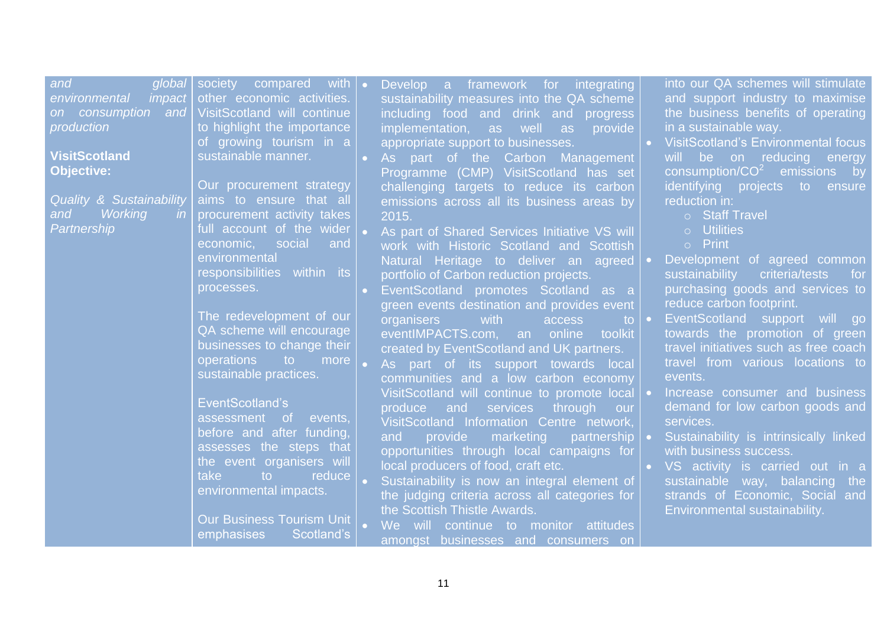| global<br>and<br>impact<br>environmental<br>on consumption<br>and<br>production<br><b>VisitScotland</b><br><b>Objective:</b><br><b>Quality &amp; Sustainability</b> | with<br>society<br>compared<br>other economic activities.<br>VisitScotland will continue<br>to highlight the importance<br>of growing tourism in a<br>sustainable manner.<br>Our procurement strategy<br>aims to ensure that all | Develop a framework for<br>integrating<br>sustainability measures into the QA scheme<br>including food and drink and progress<br>implementation, as<br>provide<br>well<br>as<br>appropriate support to businesses.<br>As part of the Carbon Management<br>Programme (CMP) VisitScotland has set<br>challenging targets to reduce its carbon<br>emissions across all its business areas by | into our QA schemes will stimulate<br>and support industry to maximise<br>the business benefits of operating<br>in a sustainable way.<br>VisitScotland's Environmental focus<br>be on reducing<br>will<br>energy<br>consumption/ $CO2$ emissions by<br>identifying projects to<br>ensure<br>reduction in: |
|---------------------------------------------------------------------------------------------------------------------------------------------------------------------|----------------------------------------------------------------------------------------------------------------------------------------------------------------------------------------------------------------------------------|-------------------------------------------------------------------------------------------------------------------------------------------------------------------------------------------------------------------------------------------------------------------------------------------------------------------------------------------------------------------------------------------|-----------------------------------------------------------------------------------------------------------------------------------------------------------------------------------------------------------------------------------------------------------------------------------------------------------|
| <b>Working</b><br>and<br>$\mathsf{I}$<br>Partnership                                                                                                                | procurement activity takes<br>full account of the wider<br>social<br>economic,<br>and                                                                                                                                            | 2015.<br>As part of Shared Services Initiative VS will<br>work with Historic Scotland and Scottish                                                                                                                                                                                                                                                                                        | o Staff Travel<br>o Utilities<br>$\circ$ Print                                                                                                                                                                                                                                                            |
|                                                                                                                                                                     | environmental<br>responsibilities within its<br>processes.                                                                                                                                                                       | Natural Heritage to deliver an agreed<br>portfolio of Carbon reduction projects.<br>EventScotland promotes Scotland as a<br>green events destination and provides event                                                                                                                                                                                                                   | Development of agreed common<br>sustainability<br>criteria/tests<br>for<br>purchasing goods and services to<br>reduce carbon footprint.                                                                                                                                                                   |
|                                                                                                                                                                     | The redevelopment of our<br>QA scheme will encourage<br>businesses to change their<br>operations to<br>more<br>sustainable practices.                                                                                            | organisers<br>with<br>access<br>to:<br>eventIMPACTS.com, an online<br>toolkit<br>created by EventScotland and UK partners.<br>As part of its support towards local<br>communities and a low carbon economy                                                                                                                                                                                | EventScotland support will go<br>towards the promotion of green<br>travel initiatives such as free coach<br>travel from various locations to<br>events.                                                                                                                                                   |
|                                                                                                                                                                     | EventScotland's<br>assessment of<br>events,<br>before and after funding,<br>assesses the steps that<br>the event organisers will<br>take<br>reduce<br>to.                                                                        | VisitScotland will continue to promote local<br>and<br>through<br>produce<br>services<br>our<br>VisitScotland Information Centre network,<br>provide marketing<br>and<br>partnership $\vert \bullet \vert$<br>opportunities through local campaigns for<br>local producers of food, craft etc.                                                                                            | Increase consumer and business<br>demand for low carbon goods and<br>services.<br>Sustainability is intrinsically linked<br>with business success.<br>• VS activity is carried out in a                                                                                                                   |
|                                                                                                                                                                     | environmental impacts.<br><b>Our Business Tourism Unit</b><br>Scotland's<br>emphasises                                                                                                                                           | Sustainability is now an integral element of<br>the judging criteria across all categories for<br>the Scottish Thistle Awards.<br>We will continue to monitor attitudes<br>amongst businesses and consumers on                                                                                                                                                                            | sustainable way, balancing the<br>strands of Economic, Social and<br>Environmental sustainability.                                                                                                                                                                                                        |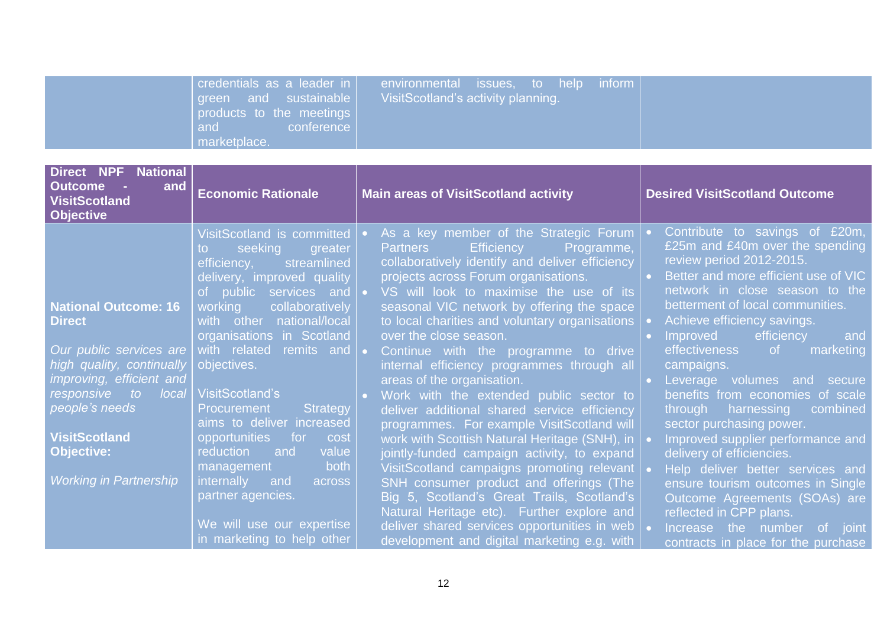| environmental issues, to help inform<br>credentials as a leader in<br>VisitScotland's activity planning.<br>Vgreen and sustainable<br>products to the meetings<br>and<br>conference  <br>marketplace. |
|-------------------------------------------------------------------------------------------------------------------------------------------------------------------------------------------------------|
|-------------------------------------------------------------------------------------------------------------------------------------------------------------------------------------------------------|

| <b>Direct NPF National</b><br><b>Outcome</b><br>and<br><b>VisitScotland</b><br><b>Objective</b>                                                      | <b>Economic Rationale</b>                                                                                                                                                                               | <b>Main areas of VisitScotland activity</b>                                                                                                                                                                                                                                                                                                                                          | <b>Desired VisitScotland Outcome</b>                                                                                                                                                                                                                                          |  |  |
|------------------------------------------------------------------------------------------------------------------------------------------------------|---------------------------------------------------------------------------------------------------------------------------------------------------------------------------------------------------------|--------------------------------------------------------------------------------------------------------------------------------------------------------------------------------------------------------------------------------------------------------------------------------------------------------------------------------------------------------------------------------------|-------------------------------------------------------------------------------------------------------------------------------------------------------------------------------------------------------------------------------------------------------------------------------|--|--|
| <b>National Outcome: 16</b><br><b>Direct</b>                                                                                                         | VisitScotland is committed<br>seeking<br>greater<br>to<br>efficiency,<br>streamlined<br>delivery, improved quality<br>of public services and<br>working<br>collaboratively<br>with other national/local | As a key member of the Strategic Forum<br>$\bullet$ .<br><b>Efficiency</b><br>Programme,<br><b>Partners</b><br>collaboratively identify and deliver efficiency<br>projects across Forum organisations.<br>VS will look to maximise the use of its<br>seasonal VIC network by offering the space<br>to local charities and voluntary organisations                                    | Contribute to savings of £20m,<br>£25m and £40m over the spending<br>review period 2012-2015.<br>Better and more efficient use of VIC<br>network in close season to the<br>betterment of local communities.<br>Achieve efficiency savings.                                    |  |  |
| Our public services are<br>high quality, continually<br>improving, efficient and<br>responsive<br>to local<br>people's needs<br><b>VisitScotland</b> | organisations in Scotland<br>with related remits and<br>objectives.<br>VisitScotland's<br>Strategy<br><b>Procurement</b><br>aims to deliver increased<br>opportunities for<br>cost                      | over the close season.<br>Continue with the programme to drive<br>internal efficiency programmes through all<br>areas of the organisation.<br>Work with the extended public sector to<br>$\bullet$ .<br>deliver additional shared service efficiency<br>programmes. For example VisitScotland will                                                                                   | efficiency<br><b>Improved</b><br>and<br>marketing<br>effectiveness of<br>campaigns.<br>Leverage volumes and<br>secure<br>benefits from economies of scale<br>through harnessing<br>combined<br>sector purchasing power.                                                       |  |  |
| <b>Objective:</b><br><b>Working in Partnership</b>                                                                                                   | value<br>reduction<br>and<br>both<br>management<br>internally<br>and<br>across<br>partner agencies.<br>We will use our expertise<br>in marketing to help other                                          | work with Scottish Natural Heritage (SNH), in<br>jointly-funded campaign activity, to expand<br>VisitScotland campaigns promoting relevant   •<br>SNH consumer product and offerings (The<br>Big 5, Scotland's Great Trails, Scotland's<br>Natural Heritage etc). Further explore and<br>deliver shared services opportunities in web<br>development and digital marketing e.g. with | Improved supplier performance and<br>delivery of efficiencies.<br>Help deliver better services and<br>ensure tourism outcomes in Single<br>Outcome Agreements (SOAs) are<br>reflected in CPP plans.<br>Increase the number<br>of joint<br>contracts in place for the purchase |  |  |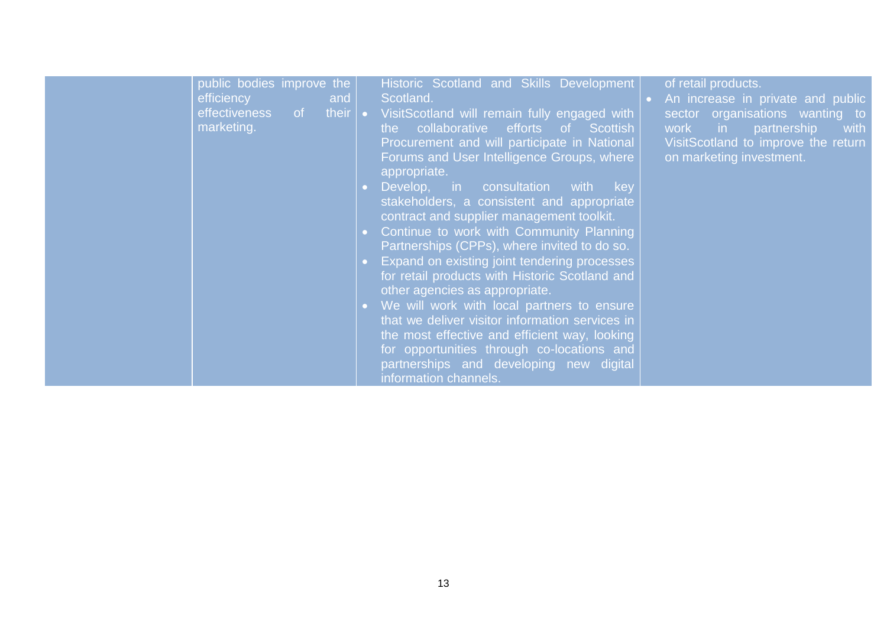| public bodies improve the<br>efficiency<br><b><i>and</i></b><br>effectiveness of their $\bullet$<br>marketing. | Historic Scotland and Skills Development<br>Scotland.<br>VisitScotland will remain fully engaged with<br>the collaborative efforts of Scottish<br>Procurement and will participate in National<br>Forums and User Intelligence Groups, where<br>appropriate.<br>Develop, in consultation with key<br>stakeholders, a consistent and appropriate<br>contract and supplier management toolkit.<br>Continue to work with Community Planning<br>Partnerships (CPPs), where invited to do so.<br>Expand on existing joint tendering processes<br>for retail products with Historic Scotland and<br>other agencies as appropriate.<br>We will work with local partners to ensure<br>that we deliver visitor information services in<br>the most effective and efficient way, looking<br>for opportunities through co-locations and<br>partnerships and developing new digital | of retail products.<br>An increase in private and public<br>sector organisations wanting to<br>work in<br>partnership<br>with<br>VisitScotland to improve the return<br>on marketing investment. |
|----------------------------------------------------------------------------------------------------------------|-------------------------------------------------------------------------------------------------------------------------------------------------------------------------------------------------------------------------------------------------------------------------------------------------------------------------------------------------------------------------------------------------------------------------------------------------------------------------------------------------------------------------------------------------------------------------------------------------------------------------------------------------------------------------------------------------------------------------------------------------------------------------------------------------------------------------------------------------------------------------|--------------------------------------------------------------------------------------------------------------------------------------------------------------------------------------------------|
|----------------------------------------------------------------------------------------------------------------|-------------------------------------------------------------------------------------------------------------------------------------------------------------------------------------------------------------------------------------------------------------------------------------------------------------------------------------------------------------------------------------------------------------------------------------------------------------------------------------------------------------------------------------------------------------------------------------------------------------------------------------------------------------------------------------------------------------------------------------------------------------------------------------------------------------------------------------------------------------------------|--------------------------------------------------------------------------------------------------------------------------------------------------------------------------------------------------|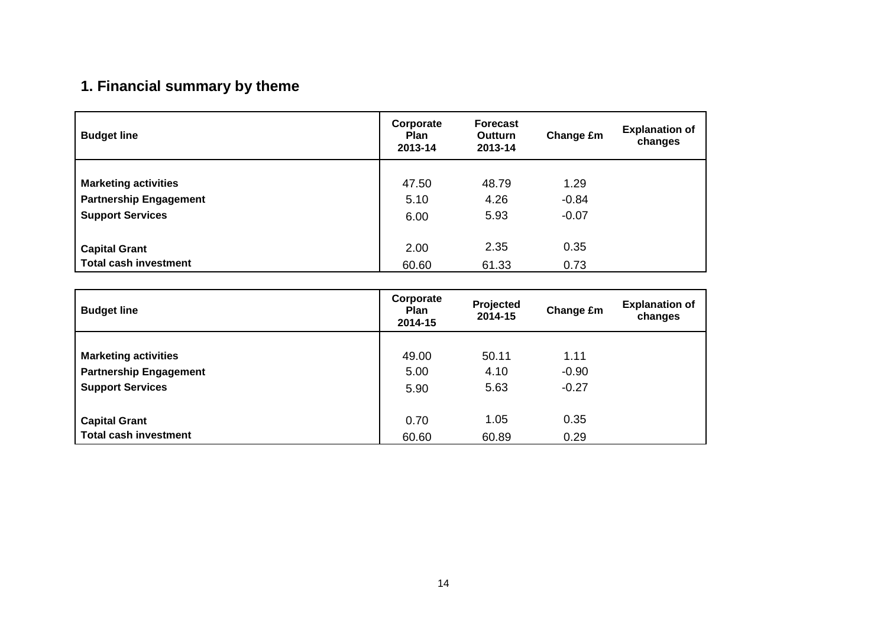# **1. Financial summary by theme**

| <b>Budget line</b>            | Corporate<br><b>Plan</b><br>2013-14 | <b>Forecast</b><br><b>Outturn</b><br>2013-14 | Change £m | <b>Explanation of</b><br>changes |
|-------------------------------|-------------------------------------|----------------------------------------------|-----------|----------------------------------|
|                               |                                     |                                              |           |                                  |
| <b>Marketing activities</b>   | 47.50                               | 48.79                                        | 1.29      |                                  |
| <b>Partnership Engagement</b> | 5.10                                | 4.26                                         | $-0.84$   |                                  |
| <b>Support Services</b>       | 6.00                                | 5.93                                         | $-0.07$   |                                  |
|                               |                                     |                                              |           |                                  |
| <b>Capital Grant</b>          | 2.00                                | 2.35                                         | 0.35      |                                  |
| <b>Total cash investment</b>  | 60.60                               | 61.33                                        | 0.73      |                                  |

| <b>Budget line</b>            | Corporate<br><b>Plan</b><br>2014-15 | Projected<br>2014-15 | Change £m | <b>Explanation of</b><br>changes |
|-------------------------------|-------------------------------------|----------------------|-----------|----------------------------------|
|                               |                                     |                      |           |                                  |
| <b>Marketing activities</b>   | 49.00                               | 50.11                | 1.11      |                                  |
| <b>Partnership Engagement</b> | 5.00                                | 4.10                 | $-0.90$   |                                  |
| <b>Support Services</b>       | 5.90                                | 5.63                 | $-0.27$   |                                  |
| <b>Capital Grant</b>          | 0.70                                | 1.05                 | 0.35      |                                  |
| <b>Total cash investment</b>  | 60.60                               | 60.89                | 0.29      |                                  |